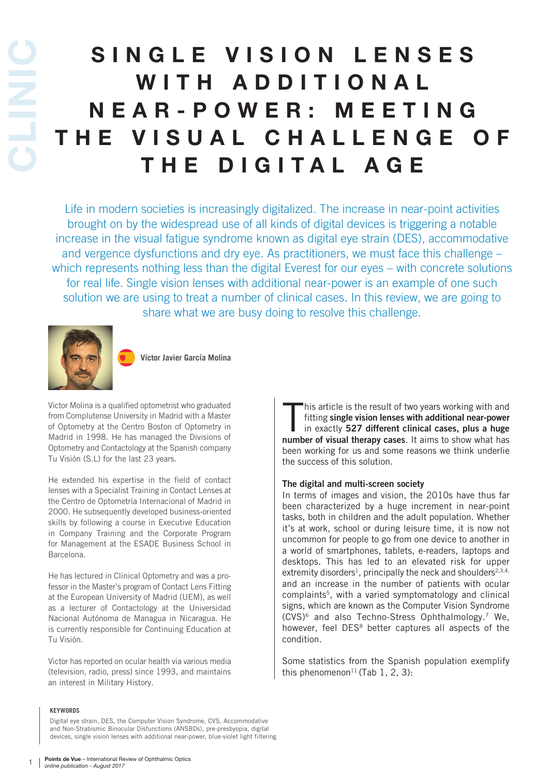# SINGLE VISION LENSES WITH ADDITIONAL N E A R - P O W E R : M E E T I N G T H E V I S U A L C H A L L E N G E O F CLINIC THE DIGITAL AGE

Life in modern societies is increasingly digitalized. The increase in near-point activities brought on by the widespread use of all kinds of digital devices is triggering a notable increase in the visual fatigue syndrome known as digital eye strain (DES), accommodative and vergence dysfunctions and dry eye. As practitioners, we must face this challenge – which represents nothing less than the digital Everest for our eyes – with concrete solutions for real life. Single vision lenses with additional near-power is an example of one such solution we are using to treat a number of clinical cases. In this review, we are going to share what we are busy doing to resolve this challenge.



**Víctor Javier García Molina**

Victor Molina is a qualified optometrist who graduated from Complutense University in Madrid with a Master of Optometry at the Centro Boston of Optometry in Madrid in 1998. He has managed the Divisions of Optometry and Contactology at the Spanish company Tu Visión (S.L) for the last 23 years.

He extended his expertise in the field of contact lenses with a Specialist Training in Contact Lenses at the Centro de Optometría Internacional of Madrid in 2000. He subsequently developed business-oriented skills by following a course in Executive Education in Company Training and the Corporate Program for Management at the ESADE Business School in Barcelona.

He has lectured in Clinical Optometry and was a professor in the Master's program of Contact Lens Fitting at the European University of Madrid (UEM), as well as a lecturer of Contactology at the Universidad Nacional Autónoma de Managua in Nicaragua. He is currently responsible for Continuing Education at Tu Visión.

Victor has reported on ocular health via various media (television, radio, press) since 1993, and maintains an interest in Military History.

#### **KEYWORDS**

Digital eye strain, DES, the Computer Vision Syndrome, CVS, Accommodative and Non-Strabismic Binocular Disfunctions (ANSBDs), pre-presbyopia, digital devices, single vision lenses with additional near-power, blue-violet light filtering

his article is the result of two years working with and fitting single vision lenses with additional near-power<br>in exactly 527 different clinical cases, plus a huge<br>number of visual therapy cases. It aims to show what has his article is the result of two years working with and fitting single vision lenses with additional near-power in exactly 527 different clinical cases, plus a huge been working for us and some reasons we think underlie the success of this solution.

#### The digital and multi-screen society

In terms of images and vision, the 2010s have thus far been characterized by a huge increment in near-point tasks, both in children and the adult population. Whether it's at work, school or during leisure time, it is now not uncommon for people to go from one device to another in a world of smartphones, tablets, e-readers, laptops and desktops. This has led to an elevated risk for upper extremity disorders<sup>1</sup>, principally the neck and shoulders<sup>2,3,4,</sup> and an increase in the number of patients with ocular complaints<sup>5</sup>, with a varied symptomatology and clinical signs, which are known as the Computer Vision Syndrome (CVS)6 and also Techno-Stress Ophthalmology.7 We, however, feel DES<sup>8</sup> better captures all aspects of the condition.

Some statistics from the Spanish population exemplify this phenomenon<sup>11</sup> (Tab 1, 2, 3):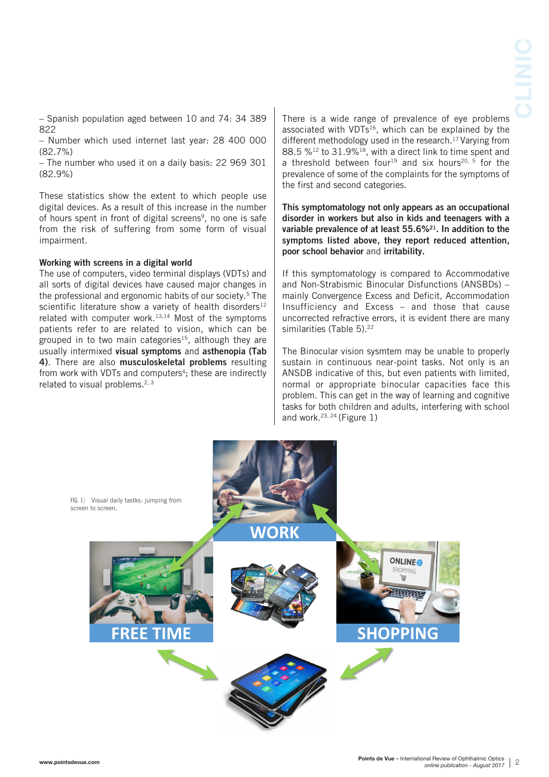– Spanish population aged between 10 and 74: 34 389 822

– Number which used internet last year: 28 400 000 (82.7%)

– The number who used it on a daily basis: 22 969 301 (82.9%)

These statistics show the extent to which people use digital devices. As a result of this increase in the number of hours spent in front of digital screens<sup>9</sup>, no one is safe from the risk of suffering from some form of visual impairment.

## Working with screens in a digital world

The use of computers, video terminal displays (VDTs) and all sorts of digital devices have caused major changes in the professional and ergonomic habits of our society.5 The scientific literature show a variety of health disorders<sup>12</sup> related with computer work.13,14 Most of the symptoms patients refer to are related to vision, which can be grouped in to two main categories<sup>15</sup>, although they are usually intermixed visual symptoms and asthenopia (Tab 4). There are also musculoskeletal problems resulting from work with VDTs and computers<sup>4</sup>; these are indirectly related to visual problems.<sup>2, 3</sup>

There is a wide range of prevalence of eye problems associated with VDTs<sup>16</sup>, which can be explained by the different methodology used in the research.<sup>17</sup> Varying from 88.5 %12 to 31.9%18, with a direct link to time spent and a threshold between four<sup>19</sup> and six hours<sup>20, 5</sup> for the prevalence of some of the complaints for the symptoms of the first and second categories.

This symptomatology not only appears as an occupational disorder in workers but also in kids and teenagers with a variable prevalence of at least 55.6%21. In addition to the symptoms listed above, they report reduced attention, poor school behavior and irritability.

If this symptomatology is compared to Accommodative and Non-Strabismic Binocular Disfunctions (ANSBDs) – mainly Convergence Excess and Deficit, Accommodation Insufficiency and Excess – and those that cause uncorrected refractive errors, it is evident there are many similarities (Table 5).<sup>22</sup>

The Binocular vision sysmtem may be unable to properly sustain in continuous near-point tasks. Not only is an ANSDB indicative of this, but even patients with limited, normal or appropriate binocular capacities face this problem. This can get in the way of learning and cognitive tasks for both children and adults, interfering with school and work.23, 24 (Figure 1)

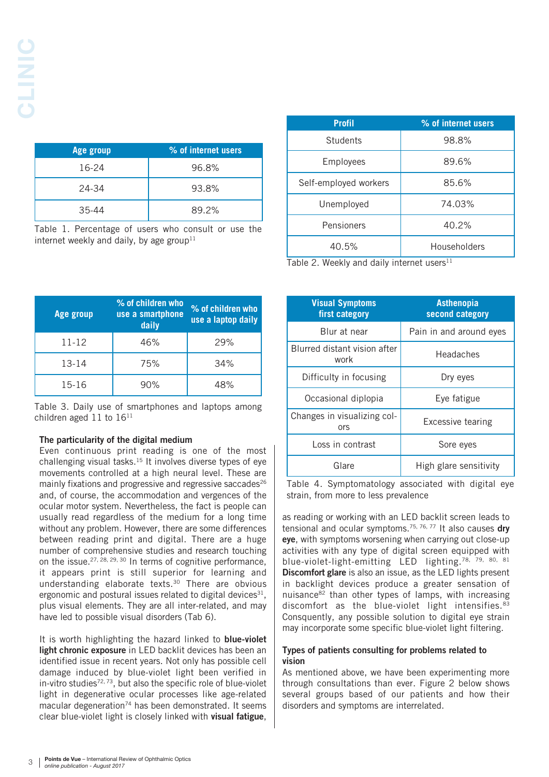| Age group | % of internet users |
|-----------|---------------------|
| 16-24     | 96.8%               |
| 24-34     | 93.8%               |
| 35-44     | 89.2%               |

Table 1. Percentage of users who consult or use the internet weekly and daily, by age group<sup>11</sup>

| <b>Profil</b>         | % of internet users |  |  |
|-----------------------|---------------------|--|--|
| Students              | 98.8%               |  |  |
| Employees             | 89.6%               |  |  |
| Self-employed workers | 85.6%               |  |  |
| Unemployed            | 74.03%              |  |  |
| Pensioners            | 40.2%               |  |  |
| 40.5%                 | Householders        |  |  |

Table 2. Weekly and daily internet users $11$ 

| Age group | % of children who<br>use a smartphone<br>daily | % of children who<br>use a laptop daily |
|-----------|------------------------------------------------|-----------------------------------------|
| 11-12     | 46%                                            | 29%                                     |
| 13-14     | 75%                                            | 34%                                     |
| 15-16     | 90%                                            | 48%                                     |

Table 3. Daily use of smartphones and laptops among children aged  $11$  to  $16^{11}$ 

# The particularity of the digital medium

Even continuous print reading is one of the most challenging visual tasks.15 It involves diverse types of eye movements controlled at a high neural level. These are mainly fixations and progressive and regressive saccades $26$ and, of course, the accommodation and vergences of the ocular motor system. Nevertheless, the fact is people can usually read regardless of the medium for a long time without any problem. However, there are some differences between reading print and digital. There are a huge number of comprehensive studies and research touching on the issue.<sup>27, 28, 29, 30</sup> In terms of cognitive performance. it appears print is still superior for learning and understanding elaborate texts.30 There are obvious ergonomic and postural issues related to digital devices $31$ . plus visual elements. They are all inter-related, and may have led to possible visual disorders (Tab 6).

It is worth highlighting the hazard linked to **blue-violet** light chronic exposure in LED backlit devices has been an identified issue in recent years. Not only has possible cell damage induced by blue-violet light been verified in  $in$ -vitro studies<sup>72, 73</sup>, but also the specific role of blue-violet light in degenerative ocular processes like age-related macular degeneration<sup>74</sup> has been demonstrated. It seems clear blue-violet light is closely linked with visual fatigue,

| <b>Visual Symptoms</b><br>first category | <b>Asthenopia</b><br>second category |  |  |
|------------------------------------------|--------------------------------------|--|--|
| Blur at near                             | Pain in and around eyes              |  |  |
| Blurred distant vision after<br>work     | Headaches                            |  |  |
| Difficulty in focusing                   | Dry eyes                             |  |  |
| Occasional diplopia                      | Eye fatigue                          |  |  |
| Changes in visualizing col-<br>ors       | Excessive tearing                    |  |  |
| Loss in contrast                         | Sore eyes                            |  |  |
| Glare                                    | High glare sensitivity               |  |  |

Table 4. Symptomatology associated with digital eye strain, from more to less prevalence

as reading or working with an LED backlit screen leads to tensional and ocular symptoms.<sup>75, 76, 77</sup> It also causes dry eye, with symptoms worsening when carrying out close-up activities with any type of digital screen equipped with blue-violet-light-emitting LED lighting.78, 79, 80, 81 Discomfort glare is also an issue, as the LED lights present in backlight devices produce a greater sensation of nuisance<sup>82</sup> than other types of lamps, with increasing discomfort as the blue-violet light intensifies.<sup>83</sup> Consquently, any possible solution to digital eye strain may incorporate some specific blue-violet light filtering.

# Types of patients consulting for problems related to vision

As mentioned above, we have been experimenting more through consultations than ever. Figure 2 below shows several groups based of our patients and how their disorders and symptoms are interrelated.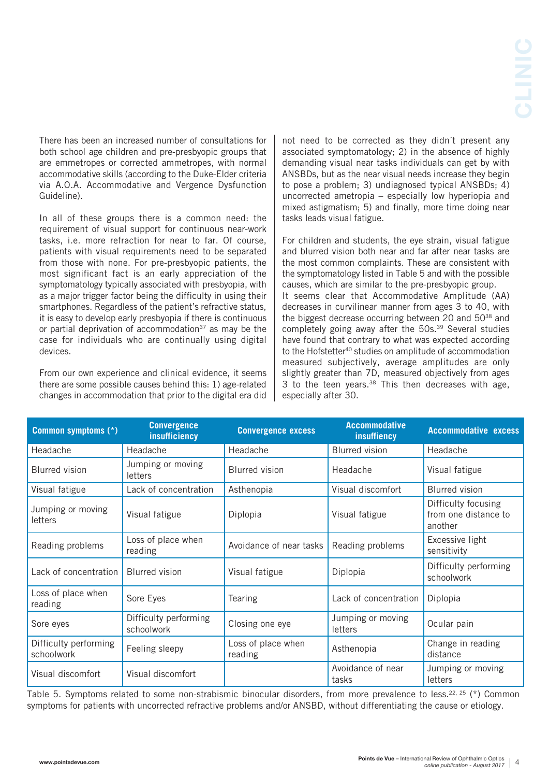There has been an increased number of consultations for both school age children and pre-presbyopic groups that are emmetropes or corrected ammetropes, with normal accommodative skills (according to the Duke-Elder criteria via A.O.A. Accommodative and Vergence Dysfunction Guideline).

In all of these groups there is a common need: the requirement of visual support for continuous near-work tasks, i.e. more refraction for near to far. Of course, patients with visual requirements need to be separated from those with none. For pre-presbyopic patients, the most significant fact is an early appreciation of the symptomatology typically associated with presbyopia, with as a major trigger factor being the difficulty in using their smartphones. Regardless of the patient's refractive status, it is easy to develop early presbyopia if there is continuous or partial deprivation of accommodation<sup>37</sup> as may be the case for individuals who are continually using digital devices.

From our own experience and clinical evidence, it seems there are some possible causes behind this: 1) age-related changes in accommodation that prior to the digital era did

not need to be corrected as they didn´t present any associated symptomatology; 2) in the absence of highly demanding visual near tasks individuals can get by with ANSBDs, but as the near visual needs increase they begin to pose a problem; 3) undiagnosed typical ANSBDs; 4) uncorrected ametropia – especially low hyperiopia and mixed astigmatism; 5) and finally, more time doing near tasks leads visual fatigue.

For children and students, the eye strain, visual fatigue and blurred vision both near and far after near tasks are the most common complaints. These are consistent with the symptomatology listed in Table 5 and with the possible causes, which are similar to the pre-presbyopic group. It seems clear that Accommodative Amplitude (AA) decreases in curvilinear manner from ages 3 to 40, with the biggest decrease occurring between 20 and 50<sup>38</sup> and completely going away after the 50s.39 Several studies have found that contrary to what was expected according to the Hofstetter40 studies on amplitude of accommodation measured subjectively, average amplitudes are only slightly greater than 7D, measured objectively from ages 3 to the teen years. $38$  This then decreases with age, especially after 30.

| <b>Common symptoms (*)</b>          | <b>Convergence</b><br><i>insufficiency</i> | <b>Convergence excess</b>     | <b>Accommodative</b><br>insuffiency | <b>Accommodative excess</b>                            |
|-------------------------------------|--------------------------------------------|-------------------------------|-------------------------------------|--------------------------------------------------------|
| Headache                            | Headache                                   | Headache                      | <b>Blurred</b> vision               | Headache                                               |
| <b>Blurred</b> vision               | Jumping or moving<br>letters               | <b>Blurred</b> vision         | Headache                            | Visual fatigue                                         |
| Visual fatigue                      | Lack of concentration                      | Asthenopia                    | Visual discomfort                   | <b>Blurred</b> vision                                  |
| Jumping or moving<br>letters        | Visual fatigue                             | Diplopia                      | Visual fatigue                      | Difficulty focusing<br>from one distance to<br>another |
| Reading problems                    | Loss of place when<br>reading              | Avoidance of near tasks       | Reading problems                    | Excessive light<br>sensitivity                         |
| Lack of concentration               | <b>Blurred</b> vision                      | Visual fatigue                | Diplopia                            | Difficulty performing<br>schoolwork                    |
| Loss of place when<br>reading       | Sore Eyes                                  | Tearing                       | Lack of concentration               | Diplopia                                               |
| Sore eyes                           | Difficulty performing<br>schoolwork        | Closing one eye               | Jumping or moving<br><b>letters</b> | Ocular pain                                            |
| Difficulty performing<br>schoolwork | Feeling sleepy                             | Loss of place when<br>reading | Asthenopia                          | Change in reading<br>distance                          |
| Visual discomfort                   | Visual discomfort                          |                               | Avoidance of near<br>tasks          | Jumping or moving<br>letters                           |

Table 5. Symptoms related to some non-strabismic binocular disorders, from more prevalence to less.<sup>22, 25</sup> (\*) Common symptoms for patients with uncorrected refractive problems and/or ANSBD, without differentiating the cause or etiology.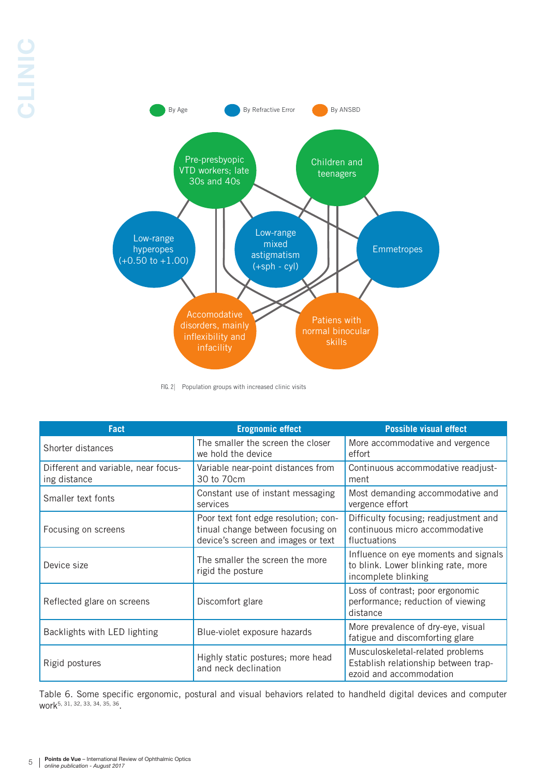

FIG. 2 Population groups with increased clinic visits

| <b>Fact</b>                                         | <b>Erognomic effect</b>                                                                                         | <b>Possible visual effect</b>                                                                       |
|-----------------------------------------------------|-----------------------------------------------------------------------------------------------------------------|-----------------------------------------------------------------------------------------------------|
| Shorter distances                                   | The smaller the screen the closer<br>we hold the device                                                         | More accommodative and vergence<br>effort                                                           |
| Different and variable, near focus-<br>ing distance | Variable near-point distances from<br>30 to 70cm                                                                | Continuous accommodative readjust-<br>ment                                                          |
| Smaller text fonts                                  | Constant use of instant messaging<br>services                                                                   | Most demanding accommodative and<br>vergence effort                                                 |
| Focusing on screens                                 | Poor text font edge resolution; con-<br>tinual change between focusing on<br>device's screen and images or text | Difficulty focusing; readjustment and<br>continuous micro accommodative<br>fluctuations             |
| Device size                                         | The smaller the screen the more<br>rigid the posture                                                            | Influence on eye moments and signals<br>to blink. Lower blinking rate, more<br>incomplete blinking  |
| Reflected glare on screens                          | Discomfort glare                                                                                                | Loss of contrast; poor ergonomic<br>performance; reduction of viewing<br>distance                   |
| Backlights with LED lighting                        | Blue-violet exposure hazards                                                                                    | More prevalence of dry-eye, visual<br>fatigue and discomforting glare                               |
| Rigid postures                                      | Highly static postures; more head<br>and neck declination                                                       | Musculoskeletal-related problems<br>Establish relationship between trap-<br>ezoid and accommodation |

Table 6. Some specific ergonomic, postural and visual behaviors related to handheld digital devices and computer work5, 31, 32, 33, 34, 35, 36.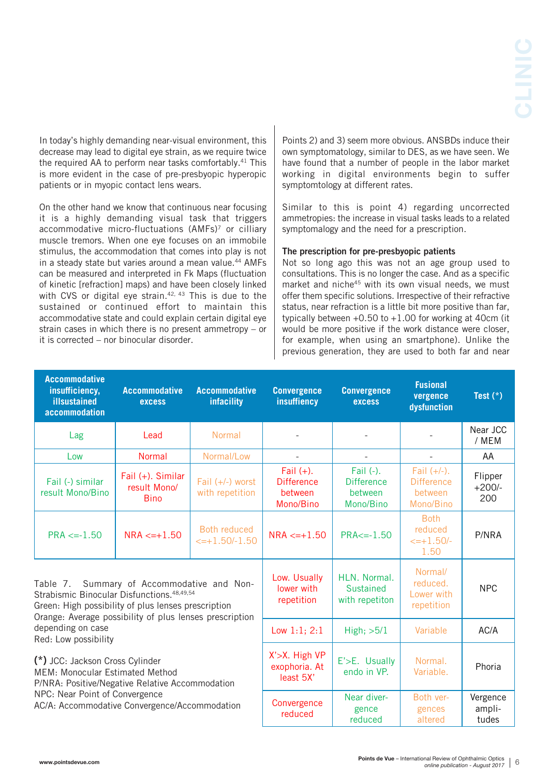In today's highly demanding near-visual environment, this decrease may lead to digital eye strain, as we require twice the required AA to perform near tasks comfortably.41 This is more evident in the case of pre-presbyopic hyperopic patients or in myopic contact lens wears.

On the other hand we know that continuous near focusing it is a highly demanding visual task that triggers accommodative micro-fluctuations (AMFs)<sup>7</sup> or cilliary muscle tremors. When one eye focuses on an immobile stimulus, the accommodation that comes into play is not in a steady state but varies around a mean value.<sup>44</sup> AMFs can be measured and interpreted in Fk Maps (fluctuation of kinetic [refraction] maps) and have been closely linked with CVS or digital eye strain.<sup>42, 43</sup> This is due to the sustained or continued effort to maintain this accommodative state and could explain certain digital eye strain cases in which there is no present ammetropy – or it is corrected – nor binocular disorder.

Points 2) and 3) seem more obvious. ANSBDs induce their own symptomatology, similar to DES, as we have seen. We have found that a number of people in the labor market working in digital environments begin to suffer symptomtology at different rates.

Similar to this is point 4) regarding uncorrected ammetropies: the increase in visual tasks leads to a related symptomalogy and the need for a prescription.

## The prescription for pre-presbyopic patients

Not so long ago this was not an age group used to consultations. This is no longer the case. And as a specific market and niche<sup>45</sup> with its own visual needs, we must offer them specific solutions. Irrespective of their refractive status, near refraction is a little bit more positive than far, typically between  $+0.50$  to  $+1.00$  for working at 40cm (it would be more positive if the work distance were closer, for example, when using an smartphone). Unlike the previous generation, they are used to both far and near

| <b>Accommodative</b><br>insufficiency,<br>illsustained<br>accommodation                                                                                                                                                                                  | <b>Accommodative</b><br><b>excess</b>            | <b>Accommodative</b><br>infacility          | <b>Convergence</b><br>insuffiency                         | <b>Convergence</b><br><b>excess</b>                    | <b>Fusional</b><br>vergence<br>dysfunction                  | Test $(*)$                 |
|----------------------------------------------------------------------------------------------------------------------------------------------------------------------------------------------------------------------------------------------------------|--------------------------------------------------|---------------------------------------------|-----------------------------------------------------------|--------------------------------------------------------|-------------------------------------------------------------|----------------------------|
| Lag                                                                                                                                                                                                                                                      | Lead                                             | Normal                                      |                                                           |                                                        |                                                             | Near JCC<br>/ MEM          |
| Low                                                                                                                                                                                                                                                      | Normal                                           | Normal/Low                                  |                                                           |                                                        |                                                             | AA                         |
| Fail (-) similar<br>result Mono/Bino                                                                                                                                                                                                                     | Fail (+). Similar<br>result Mono/<br><b>Bino</b> | Fail $(+/-)$ worst<br>with repetition       | Fail $(+)$ .<br><b>Difference</b><br>between<br>Mono/Bino | Fail (-).<br><b>Difference</b><br>between<br>Mono/Bino | Fail $(+/-)$ .<br><b>Difference</b><br>between<br>Mono/Bino | Flipper<br>$+200/-$<br>200 |
| $PRA \le -1.50$                                                                                                                                                                                                                                          | $NRA < = +1.50$                                  | Both reduced<br>$\leftarrow +1.50/-1.50$    | $NRA < = +1.50$                                           | $PRA \le -1.50$                                        | <b>Both</b><br>reduced<br>$\leftarrow +1.50/-$<br>1.50      | P/NRA                      |
| Table 7. Summary of Accommodative and Non-<br>Strabismic Binocular Disfunctions. 48,49,54<br>Green: High possibility of plus lenses prescription<br>Orange: Average possibility of plus lenses prescription<br>depending on case<br>Red: Low possibility |                                                  | Low. Usually<br>lower with<br>repetition    | HLN. Normal.<br><b>Sustained</b><br>with repetiton        | Normal/<br>reduced.<br>Lower with<br>repetition        | <b>NPC</b>                                                  |                            |
|                                                                                                                                                                                                                                                          |                                                  | Low $1:1$ ; $2:1$                           | High; >5/1                                                | Variable                                               | AC/A                                                        |                            |
| (*) JCC: Jackson Cross Cylinder<br><b>MEM: Monocular Estimated Method</b><br>P/NRA: Positive/Negative Relative Accommodation<br>NPC: Near Point of Convergence<br>AC/A: Accommodative Convergence/Accommodation                                          |                                                  | X'>X. High VP<br>exophoria. At<br>least 5X' | E'>E. Usually<br>endo in VP.                              | Normal.<br>Variable.                                   | Phoria                                                      |                            |
|                                                                                                                                                                                                                                                          |                                                  | Convergence<br>reduced                      | Near diver-<br>gence<br>reduced                           | Both ver-<br>gences<br>altered                         | Vergence<br>ampli-<br>tudes                                 |                            |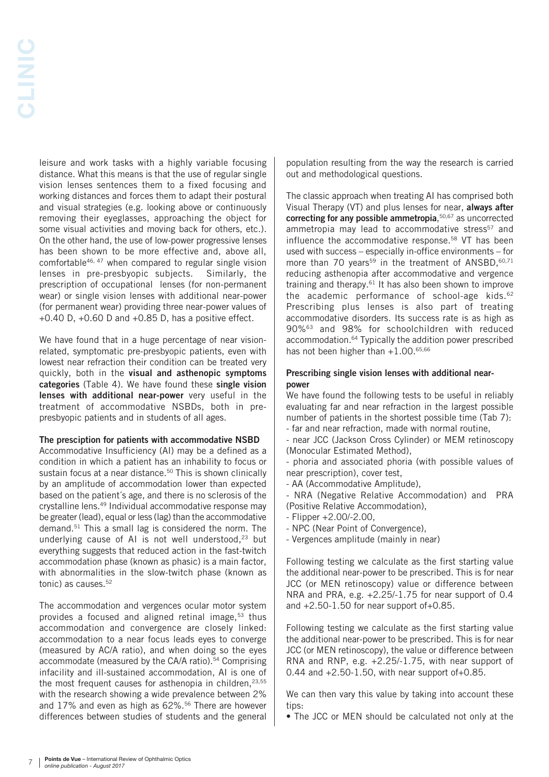leisure and work tasks with a highly variable focusing distance. What this means is that the use of regular single vision lenses sentences them to a fixed focusing and working distances and forces them to adapt their postural and visual strategies (e.g. looking above or continuously removing their eyeglasses, approaching the object for some visual activities and moving back for others, etc.). On the other hand, the use of low-power progressive lenses has been shown to be more effective and, above all, comfortable46, 47 when compared to regular single vision lenses in pre-presbyopic subjects. Similarly, the prescription of occupational lenses (for non-permanent wear) or single vision lenses with additional near-power (for permanent wear) providing three near-power values of +0.40 D, +0.60 D and +0.85 D, has a positive effect.

We have found that in a huge percentage of near visionrelated, symptomatic pre-presbyopic patients, even with lowest near refraction their condition can be treated very quickly, both in the visual and asthenopic symptoms categories (Table 4). We have found these single vision lenses with additional near-power very useful in the treatment of accommodative NSBDs, both in prepresbyopic patients and in students of all ages.

## The presciption for patients with accommodative NSBD

Accommodative Insufficiency (AI) may be a defined as a condition in which a patient has an inhability to focus or sustain focus at a near distance.<sup>50</sup> This is shown clinically by an amplitude of accommodation lower than expected based on the patient´s age, and there is no sclerosis of the crystalline lens.49 Individual accommodative response may be greater (lead), equal or less (lag) than the accommodative demand.51 This a small lag is considered the norm. The underlying cause of AI is not well understood, $23$  but everything suggests that reduced action in the fast-twitch accommodation phase (known as phasic) is a main factor, with abnormalities in the slow-twitch phase (known as tonic) as causes.52

The accommodation and vergences ocular motor system provides a focused and aligned retinal image,<sup>53</sup> thus accommodation and convergence are closely linked: accommodation to a near focus leads eyes to converge (measured by AC/A ratio), and when doing so the eyes accommodate (measured by the CA/A ratio).<sup>54</sup> Comprising infacility and ill-sustained accommodation, AI is one of the most frequent causes for asthenopia in children, $23,55$ with the research showing a wide prevalence between 2% and 17% and even as high as 62%.56 There are however differences between studies of students and the general population resulting from the way the research is carried out and methodological questions.

The classic approach when treating AI has comprised both Visual Therapy (VT) and plus lenses for near, always after correcting for any possible ammetropia, 50,67 as uncorrected ammetropia may lead to accommodative stress<sup>57</sup> and influence the accommodative response.<sup>58</sup> VT has been used with success – especially in-office environments – for more than 70 years<sup>59</sup> in the treatment of ANSBD,  $60,71$ reducing asthenopia after accommodative and vergence training and therapy.61 It has also been shown to improve the academic performance of school-age kids.<sup>62</sup> Prescribing plus lenses is also part of treating accommodative disorders. Its success rate is as high as 90%63 and 98% for schoolchildren with reduced accommodation.64 Typically the addition power prescribed has not been higher than  $+1.00$ .<sup>65,66</sup>

# Prescribing single vision lenses with additional nearpower

We have found the following tests to be useful in reliably evaluating far and near refraction in the largest possible number of patients in the shortest possible time (Tab 7):

- far and near refraction, made with normal routine,

- near JCC (Jackson Cross Cylinder) or MEM retinoscopy (Monocular Estimated Method),

- phoria and associated phoria (with possible values of near prescription), cover test,

- AA (Accommodative Amplitude),

- NRA (Negative Relative Accommodation) and PRA (Positive Relative Accommodation),

- Flipper +2.00/-2.00,
- NPC (Near Point of Convergence),
- Vergences amplitude (mainly in near)

Following testing we calculate as the first starting value the additional near-power to be prescribed. This is for near JCC (or MEN retinoscopy) value or difference between NRA and PRA, e.g. +2.25/-1.75 for near support of 0.4 and  $+2.50-1.50$  for near support of  $+0.85$ .

Following testing we calculate as the first starting value the additional near-power to be prescribed. This is for near JCC (or MEN retinoscopy), the value or difference between RNA and RNP, e.g. +2.25/-1.75, with near support of 0.44 and +2.50-1.50, with near support of+0.85.

We can then vary this value by taking into account these tins.

• The JCC or MEN should be calculated not only at the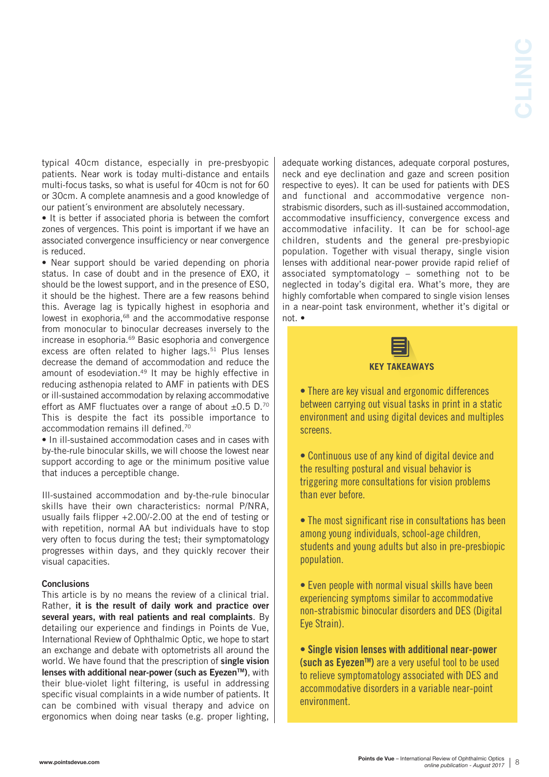typical 40cm distance, especially in pre-presbyopic patients. Near work is today multi-distance and entails multi-focus tasks, so what is useful for 40cm is not for 60 or 30cm. A complete anamnesis and a good knowledge of our patient´s environment are absolutely necessary.

• It is better if associated phoria is between the comfort zones of vergences. This point is important if we have an associated convergence insufficiency or near convergence is reduced.

• Near support should be varied depending on phoria status. In case of doubt and in the presence of EXO, it should be the lowest support, and in the presence of ESO, it should be the highest. There are a few reasons behind this. Average lag is typically highest in esophoria and lowest in exophoria,<sup>68</sup> and the accommodative response from monocular to binocular decreases inversely to the increase in esophoria.69 Basic esophoria and convergence excess are often related to higher lags.<sup>51</sup> Plus lenses decrease the demand of accommodation and reduce the amount of esodeviation.<sup>49</sup> It may be highly effective in reducing asthenopia related to AMF in patients with DES or ill-sustained accommodation by relaxing accommodative effort as AMF fluctuates over a range of about  $\pm 0.5$  D.<sup>70</sup> This is despite the fact its possible importance to accommodation remains ill defined.70

• In ill-sustained accommodation cases and in cases with by-the-rule binocular skills, we will choose the lowest near support according to age or the minimum positive value that induces a perceptible change.

Ill-sustained accommodation and by-the-rule binocular skills have their own characteristics: normal P/NRA, usually fails flipper +2.00/-2.00 at the end of testing or with repetition, normal AA but individuals have to stop very often to focus during the test; their symptomatology progresses within days, and they quickly recover their visual capacities.

# **Conclusions**

This article is by no means the review of a clinical trial. Rather, it is the result of daily work and practice over several years, with real patients and real complaints. By detailing our experience and findings in Points de Vue, International Review of Ophthalmic Optic, we hope to start an exchange and debate with optometrists all around the world. We have found that the prescription of single vision lenses with additional near-power (such as Evezen™), with their blue-violet light filtering, is useful in addressing specific visual complaints in a wide number of patients. It can be combined with visual therapy and advice on ergonomics when doing near tasks (e.g. proper lighting,

adequate working distances, adequate corporal postures, neck and eye declination and gaze and screen position respective to eyes). It can be used for patients with DES and functional and accommodative vergence nonstrabismic disorders, such as ill-sustained accommodation, accommodative insufficiency, convergence excess and accommodative infacility. It can be for school-age children, students and the general pre-presbyiopic population. Together with visual therapy, single vision lenses with additional near-power provide rapid relief of associated symptomatology – something not to be neglected in today's digital era. What's more, they are highly comfortable when compared to single vision lenses in a near-point task environment, whether it's digital or not. •



# **KEY TAKEAWAYS**

• There are key visual and ergonomic differences between carrying out visual tasks in print in a static environment and using digital devices and multiples screens.

• Continuous use of any kind of digital device and the resulting postural and visual behavior is triggering more consultations for vision problems than ever before.

• The most significant rise in consultations has been among young individuals, school-age children, students and young adults but also in pre-presbiopic population.

• Even people with normal visual skills have been experiencing symptoms similar to accommodative non-strabismic binocular disorders and DES (Digital Eye Strain).

• Single vision lenses with additional near-power (such as Eyezen<sup>™</sup>) are a very useful tool to be used to relieve symptomatology associated with DES and accommodative disorders in a variable near-point environment.